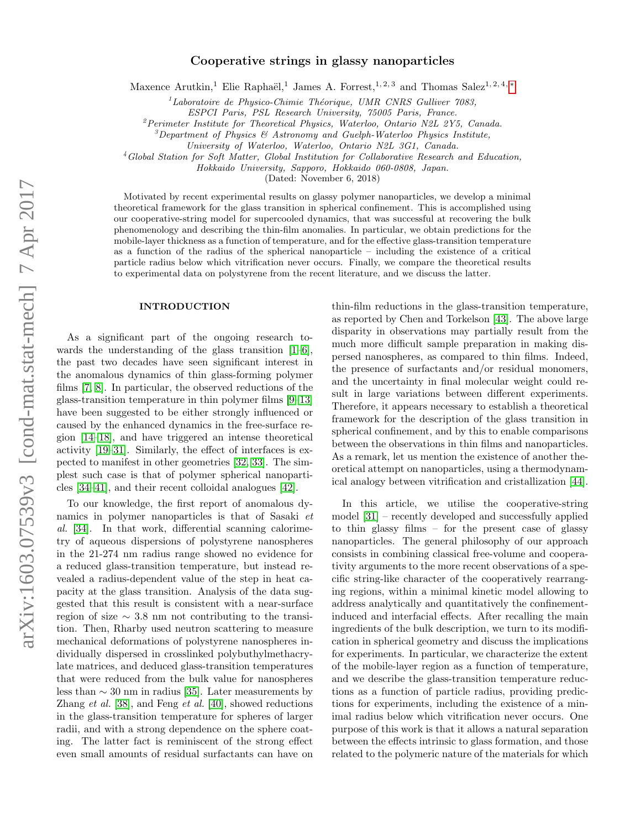# Cooperative strings in glassy nanoparticles

Maxence Arutkin,<sup>1</sup> Elie Raphaël,<sup>1</sup> James A. Forrest,<sup>1, 2, 3</sup> and Thomas Salez<sup>1, 2, 4, \*</sup>

 ${}^{1}$ Laboratoire de Physico-Chimie Théorique, UMR CNRS Gulliver 7083,

ESPCI Paris, PSL Research University, 75005 Paris, France.

 ${}^{2}$ Perimeter Institute for Theoretical Physics, Waterloo, Ontario N2L 2Y5, Canada.

 $3$ Department of Physics & Astronomy and Guelph-Waterloo Physics Institute,

University of Waterloo, Waterloo, Ontario N2L 3G1, Canada.

<sup>4</sup>Global Station for Soft Matter, Global Institution for Collaborative Research and Education,

Hokkaido University, Sapporo, Hokkaido 060-0808, Japan.

(Dated: November 6, 2018)

Motivated by recent experimental results on glassy polymer nanoparticles, we develop a minimal theoretical framework for the glass transition in spherical confinement. This is accomplished using our cooperative-string model for supercooled dynamics, that was successful at recovering the bulk phenomenology and describing the thin-film anomalies. In particular, we obtain predictions for the mobile-layer thickness as a function of temperature, and for the effective glass-transition temperature as a function of the radius of the spherical nanoparticle – including the existence of a critical particle radius below which vitrification never occurs. Finally, we compare the theoretical results to experimental data on polystyrene from the recent literature, and we discuss the latter.

#### INTRODUCTION

As a significant part of the ongoing research towards the understanding of the glass transition  $[1-6]$  $[1-6]$ , the past two decades have seen significant interest in the anomalous dynamics of thin glass-forming polymer films [\[7,](#page-5-3) [8\]](#page-5-4). In particular, the observed reductions of the glass-transition temperature in thin polymer films [\[9](#page-5-5)[–13\]](#page-5-6) have been suggested to be either strongly influenced or caused by the enhanced dynamics in the free-surface region [\[14–](#page-5-7)[18\]](#page-5-8), and have triggered an intense theoretical activity [\[19](#page-5-9)[–31\]](#page-5-10). Similarly, the effect of interfaces is expected to manifest in other geometries [\[32,](#page-5-11) [33\]](#page-5-12). The simplest such case is that of polymer spherical nanoparticles [\[34–](#page-5-13)[41\]](#page-6-0), and their recent colloidal analogues [\[42\]](#page-6-1).

To our knowledge, the first report of anomalous dynamics in polymer nanoparticles is that of Sasaki et al. [\[34\]](#page-5-13). In that work, differential scanning calorimetry of aqueous dispersions of polystyrene nanospheres in the 21-274 nm radius range showed no evidence for a reduced glass-transition temperature, but instead revealed a radius-dependent value of the step in heat capacity at the glass transition. Analysis of the data suggested that this result is consistent with a near-surface region of size  $\sim$  3.8 nm not contributing to the transition. Then, Rharby used neutron scattering to measure mechanical deformations of polystyrene nanospheres individually dispersed in crosslinked polybuthylmethacrylate matrices, and deduced glass-transition temperatures that were reduced from the bulk value for nanospheres less than ∼ 30 nm in radius [\[35\]](#page-5-14). Later measurements by Zhang et al. [\[38\]](#page-5-15), and Feng et al. [\[40\]](#page-6-2), showed reductions in the glass-transition temperature for spheres of larger radii, and with a strong dependence on the sphere coating. The latter fact is reminiscent of the strong effect even small amounts of residual surfactants can have on

thin-film reductions in the glass-transition temperature, as reported by Chen and Torkelson [\[43\]](#page-6-3). The above large disparity in observations may partially result from the much more difficult sample preparation in making dispersed nanospheres, as compared to thin films. Indeed, the presence of surfactants and/or residual monomers, and the uncertainty in final molecular weight could result in large variations between different experiments. Therefore, it appears necessary to establish a theoretical framework for the description of the glass transition in spherical confinement, and by this to enable comparisons between the observations in thin films and nanoparticles. As a remark, let us mention the existence of another theoretical attempt on nanoparticles, using a thermodynamical analogy between vitrification and cristallization [\[44\]](#page-6-4).

In this article, we utilise the cooperative-string model [\[31\]](#page-5-10) – recently developed and successfully applied to thin glassy films – for the present case of glassy nanoparticles. The general philosophy of our approach consists in combining classical free-volume and cooperativity arguments to the more recent observations of a specific string-like character of the cooperatively rearranging regions, within a minimal kinetic model allowing to address analytically and quantitatively the confinementinduced and interfacial effects. After recalling the main ingredients of the bulk description, we turn to its modification in spherical geometry and discuss the implications for experiments. In particular, we characterize the extent of the mobile-layer region as a function of temperature, and we describe the glass-transition temperature reductions as a function of particle radius, providing predictions for experiments, including the existence of a minimal radius below which vitrification never occurs. One purpose of this work is that it allows a natural separation between the effects intrinsic to glass formation, and those related to the polymeric nature of the materials for which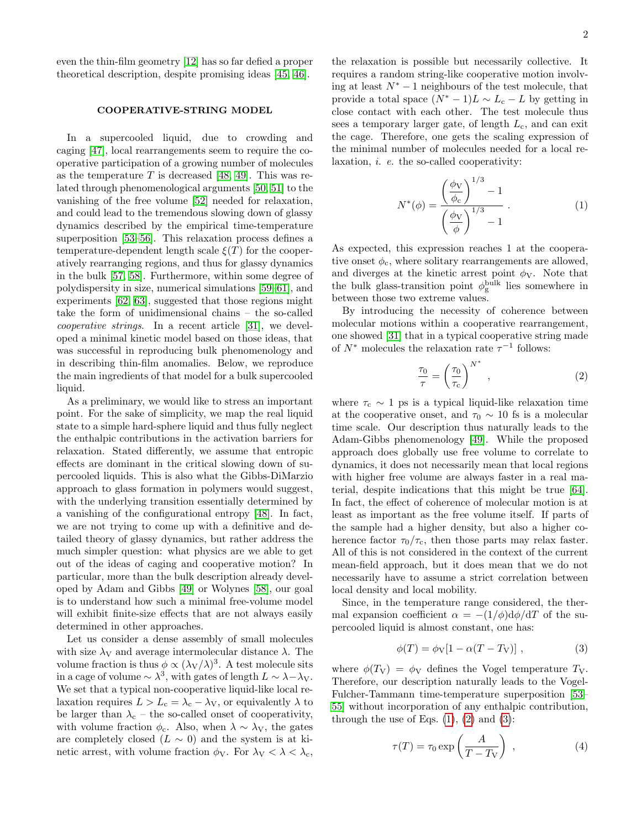even the thin-film geometry [\[12\]](#page-5-16) has so far defied a proper theoretical description, despite promising ideas [\[45,](#page-6-5) [46\]](#page-6-6).

## COOPERATIVE-STRING MODEL

In a supercooled liquid, due to crowding and caging [\[47\]](#page-6-7), local rearrangements seem to require the cooperative participation of a growing number of molecules as the temperature T is decreased [\[48,](#page-6-8) [49\]](#page-6-9). This was related through phenomenological arguments [\[50,](#page-6-10) [51\]](#page-6-11) to the vanishing of the free volume [\[52\]](#page-6-12) needed for relaxation, and could lead to the tremendous slowing down of glassy dynamics described by the empirical time-temperature superposition [\[53–](#page-6-13)[56\]](#page-6-14). This relaxation process defines a temperature-dependent length scale  $\xi(T)$  for the cooperatively rearranging regions, and thus for glassy dynamics in the bulk [\[57,](#page-6-15) [58\]](#page-6-16). Furthermore, within some degree of polydispersity in size, numerical simulations [\[59–](#page-6-17)[61\]](#page-6-18), and experiments [\[62,](#page-6-19) [63\]](#page-6-20), suggested that those regions might take the form of unidimensional chains – the so-called cooperative strings. In a recent article [\[31\]](#page-5-10), we developed a minimal kinetic model based on those ideas, that was successful in reproducing bulk phenomenology and in describing thin-film anomalies. Below, we reproduce the main ingredients of that model for a bulk supercooled liquid.

As a preliminary, we would like to stress an important point. For the sake of simplicity, we map the real liquid state to a simple hard-sphere liquid and thus fully neglect the enthalpic contributions in the activation barriers for relaxation. Stated differently, we assume that entropic effects are dominant in the critical slowing down of supercooled liquids. This is also what the Gibbs-DiMarzio approach to glass formation in polymers would suggest, with the underlying transition essentially determined by a vanishing of the configurational entropy [\[48\]](#page-6-8). In fact, we are not trying to come up with a definitive and detailed theory of glassy dynamics, but rather address the much simpler question: what physics are we able to get out of the ideas of caging and cooperative motion? In particular, more than the bulk description already developed by Adam and Gibbs [\[49\]](#page-6-9) or Wolynes [\[58\]](#page-6-16), our goal is to understand how such a minimal free-volume model will exhibit finite-size effects that are not always easily determined in other approaches.

Let us consider a dense assembly of small molecules with size  $\lambda_V$  and average intermolecular distance  $\lambda$ . The volume fraction is thus  $\phi \propto (\lambda_V/\lambda)^3$ . A test molecule sits in a cage of volume  $\sim \lambda^3$ , with gates of length  $L \sim \lambda - \lambda_V$ . We set that a typical non-cooperative liquid-like local relaxation requires  $L > L_c = \lambda_c - \lambda_V$ , or equivalently  $\lambda$  to be larger than  $\lambda_c$  – the so-called onset of cooperativity, with volume fraction  $\phi_c$ . Also, when  $\lambda \sim \lambda_V$ , the gates are completely closed  $(L \sim 0)$  and the system is at kinetic arrest, with volume fraction  $\phi_V$ . For  $\lambda_V < \lambda < \lambda_c$ ,

the relaxation is possible but necessarily collective. It requires a random string-like cooperative motion involving at least  $N^* - 1$  neighbours of the test molecule, that provide a total space  $(N^* - 1)L \sim L_c - L$  by getting in close contact with each other. The test molecule thus sees a temporary larger gate, of length  $L_c$ , and can exit the cage. Therefore, one gets the scaling expression of the minimal number of molecules needed for a local relaxation, i. e. the so-called cooperativity:

<span id="page-1-0"></span>
$$
N^*(\phi) = \frac{\left(\frac{\phi_V}{\phi_c}\right)^{1/3} - 1}{\left(\frac{\phi_V}{\phi}\right)^{1/3} - 1}.
$$
 (1)

As expected, this expression reaches 1 at the cooperative onset  $\phi_c$ , where solitary rearrangements are allowed, and diverges at the kinetic arrest point  $\phi_V$ . Note that the bulk glass-transition point  $\phi_{\rm g}^{\rm bulk}$  lies somewhere in between those two extreme values.

By introducing the necessity of coherence between molecular motions within a cooperative rearrangement, one showed [\[31\]](#page-5-10) that in a typical cooperative string made of  $N^*$  molecules the relaxation rate  $\tau^{-1}$  follows:

<span id="page-1-1"></span>
$$
\frac{\tau_0}{\tau} = \left(\frac{\tau_0}{\tau_c}\right)^{N^*},\tag{2}
$$

where  $\tau_c \sim 1$  ps is a typical liquid-like relaxation time at the cooperative onset, and  $\tau_0 \sim 10$  fs is a molecular time scale. Our description thus naturally leads to the Adam-Gibbs phenomenology [\[49\]](#page-6-9). While the proposed approach does globally use free volume to correlate to dynamics, it does not necessarily mean that local regions with higher free volume are always faster in a real material, despite indications that this might be true [\[64\]](#page-6-21). In fact, the effect of coherence of molecular motion is at least as important as the free volume itself. If parts of the sample had a higher density, but also a higher coherence factor  $\tau_0/\tau_c$ , then those parts may relax faster. All of this is not considered in the context of the current mean-field approach, but it does mean that we do not necessarily have to assume a strict correlation between local density and local mobility.

Since, in the temperature range considered, the thermal expansion coefficient  $\alpha = -(1/\phi)d\phi/dT$  of the supercooled liquid is almost constant, one has:

<span id="page-1-2"></span>
$$
\phi(T) = \phi_V [1 - \alpha (T - T_V)], \qquad (3)
$$

where  $\phi(T_V) = \phi_V$  defines the Vogel temperature  $T_V$ . Therefore, our description naturally leads to the Vogel-Fulcher-Tammann time-temperature superposition [\[53–](#page-6-13) [55\]](#page-6-22) without incorporation of any enthalpic contribution, through the use of Eqs.  $(1)$ ,  $(2)$  and  $(3)$ :

<span id="page-1-3"></span>
$$
\tau(T) = \tau_0 \exp\left(\frac{A}{T - T_V}\right) , \qquad (4)
$$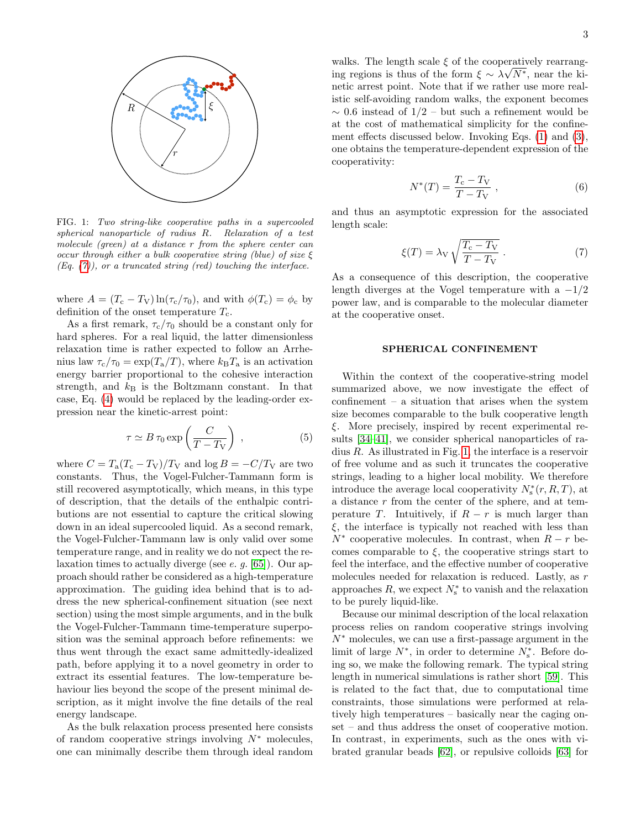

<span id="page-2-1"></span>FIG. 1: Two string-like cooperative paths in a supercooled spherical nanoparticle of radius R. Relaxation of a test molecule (green) at a distance r from the sphere center can occur through either a bulk cooperative string (blue) of size  $\xi$  $(Eq. (7))$  $(Eq. (7))$  $(Eq. (7))$ , or a truncated string (red) touching the interface.

where  $A = (T_c - T_V) \ln(\tau_c/\tau_0)$ , and with  $\phi(T_c) = \phi_c$  by definition of the onset temperature  $T_c$ .

As a first remark,  $\tau_c/\tau_0$  should be a constant only for hard spheres. For a real liquid, the latter dimensionless relaxation time is rather expected to follow an Arrhenius law  $\tau_c/\tau_0 = \exp(T_a/T)$ , where  $k_B T_a$  is an activation energy barrier proportional to the cohesive interaction strength, and  $k_B$  is the Boltzmann constant. In that case, Eq. [\(4\)](#page-1-3) would be replaced by the leading-order expression near the kinetic-arrest point:

$$
\tau \simeq B \,\tau_0 \exp\left(\frac{C}{T - T_V}\right) \,, \tag{5}
$$

where  $C = T_a (T_c - T_V)/T_V$  and  $\log B = -C/T_V$  are two constants. Thus, the Vogel-Fulcher-Tammann form is still recovered asymptotically, which means, in this type of description, that the details of the enthalpic contributions are not essential to capture the critical slowing down in an ideal supercooled liquid. As a second remark, the Vogel-Fulcher-Tammann law is only valid over some temperature range, and in reality we do not expect the relaxation times to actually diverge (see e. g. [\[65\]](#page-6-23)). Our approach should rather be considered as a high-temperature approximation. The guiding idea behind that is to address the new spherical-confinement situation (see next section) using the most simple arguments, and in the bulk the Vogel-Fulcher-Tammann time-temperature superposition was the seminal approach before refinements: we thus went through the exact same admittedly-idealized path, before applying it to a novel geometry in order to extract its essential features. The low-temperature behaviour lies beyond the scope of the present minimal description, as it might involve the fine details of the real energy landscape.

As the bulk relaxation process presented here consists of random cooperative strings involving  $N^*$  molecules, one can minimally describe them through ideal random

walks. The length scale  $\xi$  of the cooperatively rearranging regions is thus of the form  $\xi \sim \lambda \sqrt{N^*}$ , near the kinetic arrest point. Note that if we rather use more realistic self-avoiding random walks, the exponent becomes  $\sim$  0.6 instead of 1/2 – but such a refinement would be at the cost of mathematical simplicity for the confinement effects discussed below. Invoking Eqs. [\(1\)](#page-1-0) and [\(3\)](#page-1-2), one obtains the temperature-dependent expression of the cooperativity:

<span id="page-2-2"></span>
$$
N^*(T) = \frac{T_c - T_V}{T - T_V} \,,\tag{6}
$$

and thus an asymptotic expression for the associated length scale:

<span id="page-2-0"></span>
$$
\xi(T) = \lambda_V \sqrt{\frac{T_c - T_V}{T - T_V}}.
$$
\n(7)

As a consequence of this description, the cooperative length diverges at the Vogel temperature with a  $-1/2$ power law, and is comparable to the molecular diameter at the cooperative onset.

### SPHERICAL CONFINEMENT

Within the context of the cooperative-string model summarized above, we now investigate the effect of confinement – a situation that arises when the system size becomes comparable to the bulk cooperative length ξ. More precisely, inspired by recent experimental results [\[34–](#page-5-13)[41\]](#page-6-0), we consider spherical nanoparticles of radius R. As illustrated in Fig. [1,](#page-2-1) the interface is a reservoir of free volume and as such it truncates the cooperative strings, leading to a higher local mobility. We therefore introduce the average local cooperativity  $N_s^*(r, R, T)$ , at a distance r from the center of the sphere, and at temperature T. Intuitively, if  $R - r$  is much larger than  $\xi$ , the interface is typically not reached with less than  $N^*$  cooperative molecules. In contrast, when  $R - r$  becomes comparable to  $\xi$ , the cooperative strings start to feel the interface, and the effective number of cooperative molecules needed for relaxation is reduced. Lastly, as r approaches  $R$ , we expect  $N_{\rm s}^*$  to vanish and the relaxation to be purely liquid-like.

Because our minimal description of the local relaxation process relies on random cooperative strings involving  $N^*$  molecules, we can use a first-passage argument in the limit of large  $N^*$ , in order to determine  $N^*_s$ . Before doing so, we make the following remark. The typical string length in numerical simulations is rather short [\[59\]](#page-6-17). This is related to the fact that, due to computational time constraints, those simulations were performed at relatively high temperatures – basically near the caging onset – and thus address the onset of cooperative motion. In contrast, in experiments, such as the ones with vibrated granular beads [\[62\]](#page-6-19), or repulsive colloids [\[63\]](#page-6-20) for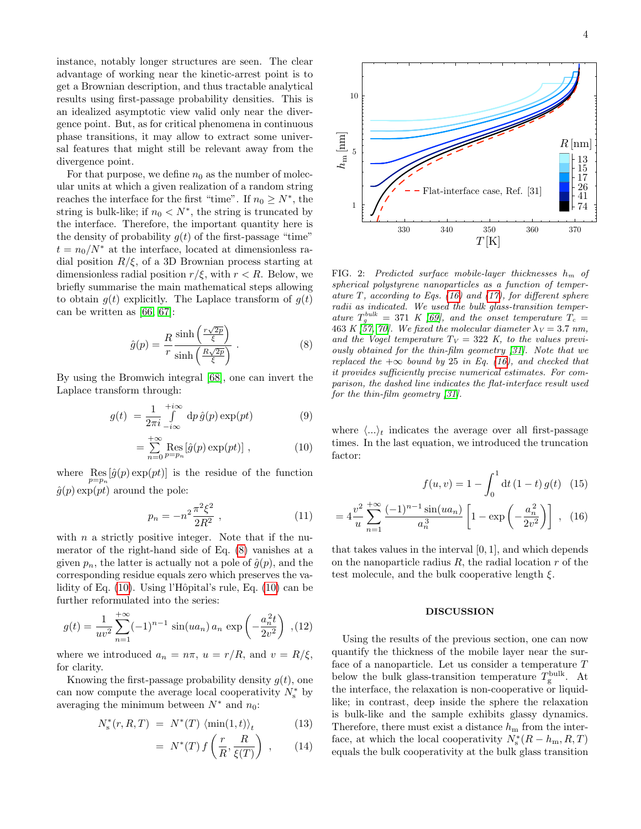instance, notably longer structures are seen. The clear advantage of working near the kinetic-arrest point is to get a Brownian description, and thus tractable analytical results using first-passage probability densities. This is an idealized asymptotic view valid only near the divergence point. But, as for critical phenomena in continuous phase transitions, it may allow to extract some universal features that might still be relevant away from the divergence point.

For that purpose, we define  $n_0$  as the number of molecular units at which a given realization of a random string reaches the interface for the first "time". If  $n_0 \ge N^*$ , the string is bulk-like; if  $n_0 < N^*$ , the string is truncated by the interface. Therefore, the important quantity here is the density of probability  $g(t)$  of the first-passage "time"  $t = n_0/N^*$  at the interface, located at dimensionless radial position  $R/\xi$ , of a 3D Brownian process starting at dimensionless radial position  $r/\xi$ , with  $r < R$ . Below, we briefly summarise the main mathematical steps allowing to obtain  $g(t)$  explicitly. The Laplace transform of  $g(t)$ can be written as [\[66,](#page-6-24) [67\]](#page-6-25):

<span id="page-3-0"></span>
$$
\hat{g}(p) = \frac{R}{r} \frac{\sinh\left(\frac{r\sqrt{2p}}{\xi}\right)}{\sinh\left(\frac{R\sqrt{2p}}{\xi}\right)} .
$$
\n(8)

By using the Bromwich integral [\[68\]](#page-6-26), one can invert the Laplace transform through:

<span id="page-3-1"></span>
$$
g(t) = \frac{1}{2\pi i} \int_{-i\infty}^{+i\infty} dp \,\hat{g}(p) \exp(pt) \tag{9}
$$

$$
= \sum_{n=0}^{+\infty} \text{Res}_{p=p_n} [\hat{g}(p) \exp(pt)] , \qquad (10)
$$

where  $\operatorname{Res}_{p=p_n}[\hat{g}(p) \exp(pt)]$  is the residue of the function  $\hat{g}(p)$  exp(pt) around the pole:

$$
p_n = -n^2 \frac{\pi^2 \xi^2}{2R^2} \,, \tag{11}
$$

with  $n$  a strictly positive integer. Note that if the numerator of the right-hand side of Eq. [\(8\)](#page-3-0) vanishes at a given  $p_n$ , the latter is actually not a pole of  $\hat{g}(p)$ , and the corresponding residue equals zero which preserves the va-lidity of Eq. [\(10\)](#page-3-1). Using l'Hôpital's rule, Eq. (10) can be further reformulated into the series:

$$
g(t) = \frac{1}{uv^2} \sum_{n=1}^{+\infty} (-1)^{n-1} \sin(ua_n) a_n \exp\left(-\frac{a_n^2 t}{2v^2}\right) , (12)
$$

where we introduced  $a_n = n\pi$ ,  $u = r/R$ , and  $v = R/\xi$ , for clarity.

Knowing the first-passage probability density  $g(t)$ , one can now compute the average local cooperativity  $N_{\rm s}^*$  by averaging the minimum between  $N^*$  and  $n_0$ :

<span id="page-3-3"></span>
$$
N_s^*(r, R, T) = N^*(T) \langle \min(1, t) \rangle_t \tag{13}
$$

$$
= N^*(T) f\left(\frac{r}{R}, \frac{R}{\xi(T)}\right) , \qquad (14)
$$



<span id="page-3-4"></span>FIG. 2: Predicted surface mobile-layer thicknesses  $h_m$  of spherical polystyrene nanoparticles as a function of temper-ature T, according to Eqs. [\(16\)](#page-3-2) and [\(17\)](#page-4-0), for different sphere radii as indicated. We used the bulk glass-transition temperature  $T_g^{bulk} = 371 K [69]$  $T_g^{bulk} = 371 K [69]$ , and the onset temperature  $T_c =$ 463 K [\[57,](#page-6-15) [70\]](#page-6-28). We fixed the molecular diameter  $\lambda_V = 3.7 \text{ nm}$ , and the Vogel temperature  $T_V = 322$  K, to the values previously obtained for the thin-film geometry [\[31\]](#page-5-10). Note that we replaced the  $+\infty$  bound by 25 in Eq. [\(16\)](#page-3-2), and checked that it provides sufficiently precise numerical estimates. For comparison, the dashed line indicates the flat-interface result used for the thin-film geometry [\[31\]](#page-5-10).

where  $\langle ... \rangle_t$  indicates the average over all first-passage times. In the last equation, we introduced the truncation factor:

<span id="page-3-2"></span>
$$
f(u,v) = 1 - \int_0^1 dt (1-t) g(t) \quad (15)
$$

$$
=4\frac{v^2}{u}\sum_{n=1}^{+\infty}\frac{(-1)^{n-1}\sin(ua_n)}{a_n^3}\left[1-\exp\left(-\frac{a_n^2}{2v^2}\right)\right],\quad(16)
$$

that takes values in the interval [0, 1], and which depends on the nanoparticle radius  $R$ , the radial location  $r$  of the test molecule, and the bulk cooperative length  $\xi$ .

### DISCUSSION

Using the results of the previous section, one can now quantify the thickness of the mobile layer near the surface of a nanoparticle. Let us consider a temperature T below the bulk glass-transition temperature  $T_g^{\text{bulk}}$ . At the interface, the relaxation is non-cooperative or liquidlike; in contrast, deep inside the sphere the relaxation is bulk-like and the sample exhibits glassy dynamics. Therefore, there must exist a distance  $h_{\rm m}$  from the interface, at which the local cooperativity  $N_s^*(R - h_m, R, T)$ equals the bulk cooperativity at the bulk glass transition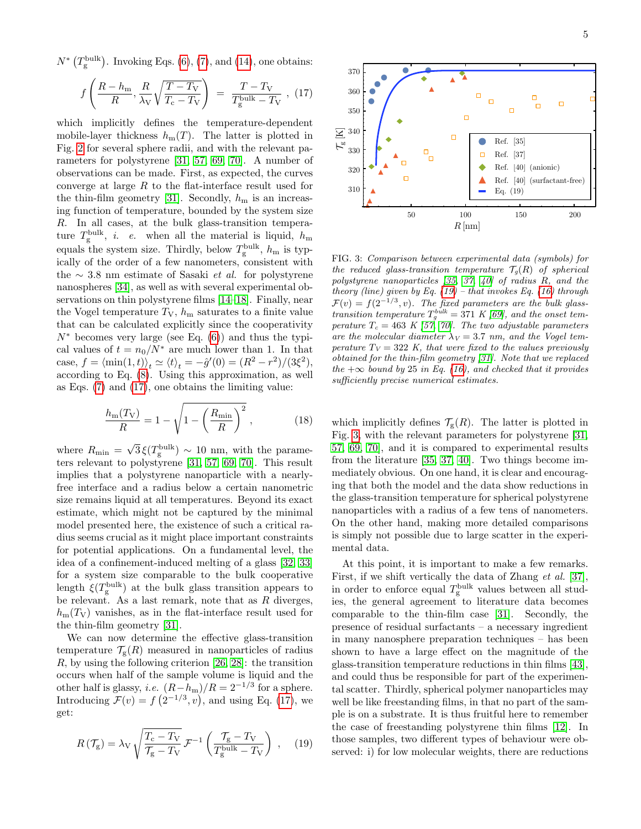$N^*$  ( $T_g^{\text{bulk}}$ ). Invoking Eqs. [\(6\)](#page-2-2), [\(7\)](#page-2-0), and [\(14\)](#page-3-3), one obtains:

<span id="page-4-0"></span>
$$
f\left(\frac{R - h_{\rm m}}{R}, \frac{R}{\lambda_{\rm V}}\sqrt{\frac{T - T_{\rm V}}{T_{\rm c} - T_{\rm V}}}\right) = \frac{T - T_{\rm V}}{T_{\rm g}^{\rm bulk} - T_{\rm V}} , (17)
$$

which implicitly defines the temperature-dependent mobile-layer thickness  $h_m(T)$ . The latter is plotted in Fig. [2](#page-3-4) for several sphere radii, and with the relevant parameters for polystyrene [\[31,](#page-5-10) [57,](#page-6-15) [69,](#page-6-27) [70\]](#page-6-28). A number of observations can be made. First, as expected, the curves converge at large  $R$  to the flat-interface result used for the thin-film geometry [\[31\]](#page-5-10). Secondly,  $h<sub>m</sub>$  is an increasing function of temperature, bounded by the system size R. In all cases, at the bulk glass-transition temperature  $T_g^{\text{bulk}}$ , *i. e.* when all the material is liquid,  $h_{\text{m}}$ equals the system size. Thirdly, below  $T_g^{\text{bulk}}$ ,  $h_m$  is typically of the order of a few nanometers, consistent with the  $∼ 3.8$  nm estimate of Sasaki *et al.* for polystyrene nanospheres [\[34\]](#page-5-13), as well as with several experimental observations on thin polystyrene films [\[14–](#page-5-7)[18\]](#page-5-8). Finally, near the Vogel temperature  $T_V$ ,  $h_m$  saturates to a finite value that can be calculated explicitly since the cooperativity  $N^*$  becomes very large (see Eq. [\(6\)](#page-2-2)) and thus the typical values of  $t = n_0/N^*$  are much lower than 1. In that case,  $f = \langle \min(1, t) \rangle_t \simeq \langle t \rangle_t = -\hat{g}'(0) = (R^2 - r^2)/(3\xi^2),$ according to Eq. [\(8\)](#page-3-0). Using this approximation, as well as Eqs. [\(7\)](#page-2-0) and [\(17\)](#page-4-0), one obtains the limiting value:

$$
\frac{h_{\rm m}(T_{\rm V})}{R} = 1 - \sqrt{1 - \left(\frac{R_{\rm min}}{R}\right)^2} \,,\tag{18}
$$

where  $R_{\min} = \sqrt{3} \xi(T_{\text{g}}^{\text{bulk}}) \sim 10 \text{ nm}$ , with the parameters relevant to polystyrene [\[31,](#page-5-10) [57,](#page-6-15) [69,](#page-6-27) [70\]](#page-6-28). This result implies that a polystyrene nanoparticle with a nearlyfree interface and a radius below a certain nanometric size remains liquid at all temperatures. Beyond its exact estimate, which might not be captured by the minimal model presented here, the existence of such a critical radius seems crucial as it might place important constraints for potential applications. On a fundamental level, the idea of a confinement-induced melting of a glass [\[32,](#page-5-11) [33\]](#page-5-12) for a system size comparable to the bulk cooperative length  $\xi(T_{\rm g}^{\rm bulk})$  at the bulk glass transition appears to be relevant. As a last remark, note that as  $R$  diverges,  $h_{\rm m}(T_{\rm V})$  vanishes, as in the flat-interface result used for the thin-film geometry [\[31\]](#page-5-10).

We can now determine the effective glass-transition temperature  $\mathcal{T}_{g}(R)$  measured in nanoparticles of radius R, by using the following criterion [\[26,](#page-5-17) [28\]](#page-5-18): the transition occurs when half of the sample volume is liquid and the other half is glassy, *i.e.*  $(R-h_m)/R = 2^{-1/3}$  for a sphere. Introducing  $\mathcal{F}(v) = f\left(2^{-1/3}, v\right)$ , and using Eq. [\(17\)](#page-4-0), we get:

<span id="page-4-1"></span>
$$
R\left(\mathcal{T}_{g}\right) = \lambda_{V} \sqrt{\frac{T_{c} - T_{V}}{\mathcal{T}_{g} - T_{V}}} \mathcal{F}^{-1}\left(\frac{\mathcal{T}_{g} - T_{V}}{\mathcal{T}_{g}^{\text{bulk}} - T_{V}}\right) , \quad (19)
$$



<span id="page-4-2"></span>FIG. 3: Comparison between experimental data (symbols) for the reduced glass-transition temperature  $\mathcal{T}_q(R)$  of spherical polystyrene nanoparticles [\[35,](#page-5-14) [37,](#page-5-19) [40\]](#page-6-2) of radius R, and the theory (line) given by Eq.  $(19)$  – that invokes Eq.  $(16)$  through  $\mathcal{F}(v) = f(2^{-1/3}, v)$ . The fixed parameters are the bulk glasstransition temperature  $T_g^{bulk} = 371 K [69]$  $T_g^{bulk} = 371 K [69]$ , and the onset temperature  $T_c = 463 \, K \, [57, 70]$  $T_c = 463 \, K \, [57, 70]$  $T_c = 463 \, K \, [57, 70]$ . The two adjustable parameters are the molecular diameter  $\lambda_V = 3.7$  nm, and the Vogel temperature  $T_V = 322$  K, that were fixed to the values previously obtained for the thin-film geometry [\[31\]](#page-5-10). Note that we replaced the  $+\infty$  bound by 25 in Eq. [\(16\)](#page-3-2), and checked that it provides sufficiently precise numerical estimates.

which implicitly defines  $\mathcal{T}_{g}(R)$ . The latter is plotted in Fig. [3,](#page-4-2) with the relevant parameters for polystyrene [\[31,](#page-5-10) [57,](#page-6-15) [69,](#page-6-27) [70\]](#page-6-28), and it is compared to experimental results from the literature [\[35,](#page-5-14) [37,](#page-5-19) [40\]](#page-6-2). Two things become immediately obvious. On one hand, it is clear and encouraging that both the model and the data show reductions in the glass-transition temperature for spherical polystyrene nanoparticles with a radius of a few tens of nanometers. On the other hand, making more detailed comparisons is simply not possible due to large scatter in the experimental data.

At this point, it is important to make a few remarks. First, if we shift vertically the data of Zhang et al. [\[37\]](#page-5-19), in order to enforce equal  $T_g^{\text{bulk}}$  values between all studies, the general agreement to literature data becomes comparable to the thin-film case [\[31\]](#page-5-10). Secondly, the presence of residual surfactants – a necessary ingredient in many nanosphere preparation techniques – has been shown to have a large effect on the magnitude of the glass-transition temperature reductions in thin films [\[43\]](#page-6-3), and could thus be responsible for part of the experimental scatter. Thirdly, spherical polymer nanoparticles may well be like freestanding films, in that no part of the sample is on a substrate. It is thus fruitful here to remember the case of freestanding polystyrene thin films [\[12\]](#page-5-16). In those samples, two different types of behaviour were observed: i) for low molecular weights, there are reductions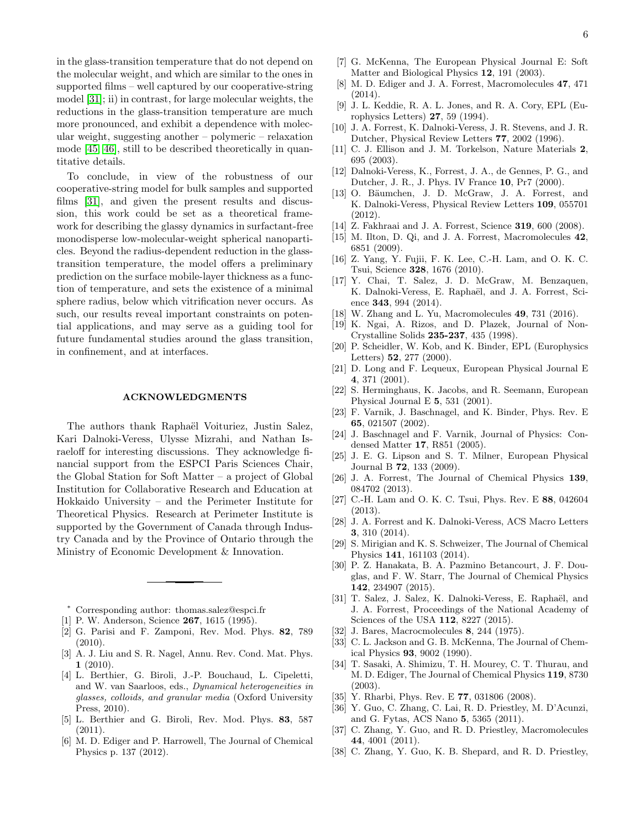in the glass-transition temperature that do not depend on the molecular weight, and which are similar to the ones in supported films – well captured by our cooperative-string model [\[31\]](#page-5-10); ii) in contrast, for large molecular weights, the reductions in the glass-transition temperature are much more pronounced, and exhibit a dependence with molecular weight, suggesting another – polymeric – relaxation mode [\[45,](#page-6-5) [46\]](#page-6-6), still to be described theoretically in quantitative details.

To conclude, in view of the robustness of our cooperative-string model for bulk samples and supported films [\[31\]](#page-5-10), and given the present results and discussion, this work could be set as a theoretical framework for describing the glassy dynamics in surfactant-free monodisperse low-molecular-weight spherical nanoparticles. Beyond the radius-dependent reduction in the glasstransition temperature, the model offers a preliminary prediction on the surface mobile-layer thickness as a function of temperature, and sets the existence of a minimal sphere radius, below which vitrification never occurs. As such, our results reveal important constraints on potential applications, and may serve as a guiding tool for future fundamental studies around the glass transition, in confinement, and at interfaces.

#### ACKNOWLEDGMENTS

The authors thank Raphaël Voituriez, Justin Salez, Kari Dalnoki-Veress, Ulysse Mizrahi, and Nathan Israeloff for interesting discussions. They acknowledge financial support from the ESPCI Paris Sciences Chair, the Global Station for Soft Matter – a project of Global Institution for Collaborative Research and Education at Hokkaido University – and the Perimeter Institute for Theoretical Physics. Research at Perimeter Institute is supported by the Government of Canada through Industry Canada and by the Province of Ontario through the Ministry of Economic Development & Innovation.

<span id="page-5-0"></span>Corresponding author: thomas.salez@espci.fr

- <span id="page-5-1"></span>[1] P. W. Anderson, Science 267, 1615 (1995).
- [2] G. Parisi and F. Zamponi, Rev. Mod. Phys. 82, 789 (2010).
- [3] A. J. Liu and S. R. Nagel, Annu. Rev. Cond. Mat. Phys.  $1(2010).$
- [4] L. Berthier, G. Biroli, J.-P. Bouchaud, L. Cipeletti, and W. van Saarloos, eds., Dynamical heterogeneities in glasses, colloids, and granular media (Oxford University Press, 2010).
- [5] L. Berthier and G. Biroli, Rev. Mod. Phys. 83, 587  $(2011)$ .
- <span id="page-5-2"></span>[6] M. D. Ediger and P. Harrowell, The Journal of Chemical Physics p. 137 (2012).
- <span id="page-5-3"></span>[7] G. McKenna, The European Physical Journal E: Soft Matter and Biological Physics 12, 191 (2003).
- <span id="page-5-4"></span>[8] M. D. Ediger and J. A. Forrest, Macromolecules 47, 471 (2014).
- <span id="page-5-5"></span>[9] J. L. Keddie, R. A. L. Jones, and R. A. Cory, EPL (Europhysics Letters) 27, 59 (1994).
- [10] J. A. Forrest, K. Dalnoki-Veress, J. R. Stevens, and J. R. Dutcher, Physical Review Letters 77, 2002 (1996).
- [11] C. J. Ellison and J. M. Torkelson, Nature Materials 2, 695 (2003).
- <span id="page-5-16"></span>[12] Dalnoki-Veress, K., Forrest, J. A., de Gennes, P. G., and Dutcher, J. R., J. Phys. IV France 10, Pr7 (2000).
- <span id="page-5-6"></span>[13] O. Bäumchen, J. D. McGraw, J. A. Forrest, and K. Dalnoki-Veress, Physical Review Letters 109, 055701 (2012).
- <span id="page-5-7"></span>[14] Z. Fakhraai and J. A. Forrest, Science 319, 600 (2008).
- [15] M. Ilton, D. Qi, and J. A. Forrest, Macromolecules 42, 6851 (2009).
- [16] Z. Yang, Y. Fujii, F. K. Lee, C.-H. Lam, and O. K. C. Tsui, Science 328, 1676 (2010).
- [17] Y. Chai, T. Salez, J. D. McGraw, M. Benzaquen, K. Dalnoki-Veress, E. Raphaël, and J. A. Forrest, Science 343, 994 (2014).
- <span id="page-5-8"></span>[18] W. Zhang and L. Yu, Macromolecules 49, 731 (2016).
- <span id="page-5-9"></span>[19] K. Ngai, A. Rizos, and D. Plazek, Journal of Non-Crystalline Solids 235-237, 435 (1998).
- [20] P. Scheidler, W. Kob, and K. Binder, EPL (Europhysics Letters) 52, 277 (2000).
- [21] D. Long and F. Lequeux, European Physical Journal E 4, 371 (2001).
- [22] S. Herminghaus, K. Jacobs, and R. Seemann, European Physical Journal E 5, 531 (2001).
- [23] F. Varnik, J. Baschnagel, and K. Binder, Phys. Rev. E 65, 021507 (2002).
- [24] J. Baschnagel and F. Varnik, Journal of Physics: Condensed Matter 17, R851 (2005).
- [25] J. E. G. Lipson and S. T. Milner, European Physical Journal B 72, 133 (2009).
- <span id="page-5-17"></span>[26] J. A. Forrest, The Journal of Chemical Physics 139, 084702 (2013).
- [27] C.-H. Lam and O. K. C. Tsui, Phys. Rev. E 88, 042604 (2013).
- <span id="page-5-18"></span>[28] J. A. Forrest and K. Dalnoki-Veress, ACS Macro Letters 3, 310 (2014).
- [29] S. Mirigian and K. S. Schweizer, The Journal of Chemical Physics 141, 161103 (2014).
- [30] P. Z. Hanakata, B. A. Pazmino Betancourt, J. F. Douglas, and F. W. Starr, The Journal of Chemical Physics 142, 234907 (2015).
- <span id="page-5-10"></span>[31] T. Salez, J. Salez, K. Dalnoki-Veress, E. Raphaël, and J. A. Forrest, Proceedings of the National Academy of Sciences of the USA 112, 8227 (2015).
- <span id="page-5-11"></span>[32] J. Bares, Macrocmolecules 8, 244 (1975).
- <span id="page-5-12"></span>[33] C. L. Jackson and G. B. McKenna, The Journal of Chemical Physics 93, 9002 (1990).
- <span id="page-5-13"></span>[34] T. Sasaki, A. Shimizu, T. H. Mourey, C. T. Thurau, and M. D. Ediger, The Journal of Chemical Physics 119, 8730 (2003).
- <span id="page-5-14"></span>[35] Y. Rharbi, Phys. Rev. E **77**, 031806 (2008).
- [36] Y. Guo, C. Zhang, C. Lai, R. D. Priestley, M. D'Acunzi, and G. Fytas, ACS Nano 5, 5365 (2011).
- <span id="page-5-19"></span>[37] C. Zhang, Y. Guo, and R. D. Priestley, Macromolecules 44, 4001 (2011).
- <span id="page-5-15"></span>[38] C. Zhang, Y. Guo, K. B. Shepard, and R. D. Priestley,